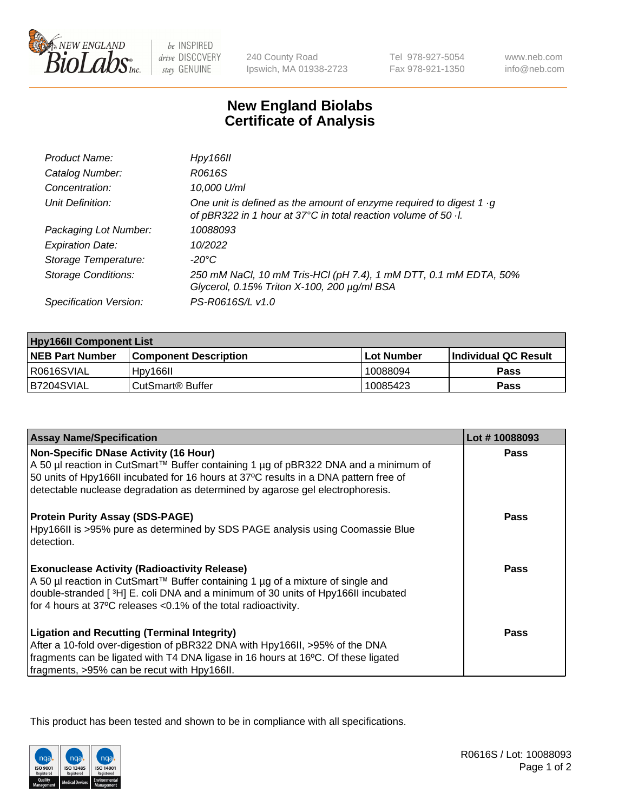

be INSPIRED drive DISCOVERY stay GENUINE

240 County Road Ipswich, MA 01938-2723 Tel 978-927-5054 Fax 978-921-1350

www.neb.com info@neb.com

## **New England Biolabs Certificate of Analysis**

| Product Name:              | Hpy166II                                                                                                                                      |
|----------------------------|-----------------------------------------------------------------------------------------------------------------------------------------------|
| Catalog Number:            | R0616S                                                                                                                                        |
| Concentration:             | 10,000 U/ml                                                                                                                                   |
| Unit Definition:           | One unit is defined as the amount of enzyme required to digest 1 $\cdot$ g<br>of pBR322 in 1 hour at 37°C in total reaction volume of 50 · l. |
| Packaging Lot Number:      | 10088093                                                                                                                                      |
| <b>Expiration Date:</b>    | 10/2022                                                                                                                                       |
| Storage Temperature:       | -20°C                                                                                                                                         |
| <b>Storage Conditions:</b> | 250 mM NaCl, 10 mM Tris-HCl (pH 7.4), 1 mM DTT, 0.1 mM EDTA, 50%<br>Glycerol, 0.15% Triton X-100, 200 µg/ml BSA                               |
| Specification Version:     | PS-R0616S/L v1.0                                                                                                                              |

| <b>Hpy166II Component List</b> |                         |             |                             |  |
|--------------------------------|-------------------------|-------------|-----------------------------|--|
| <b>NEB Part Number</b>         | l Component Description | ⊺Lot Number | <b>Individual QC Result</b> |  |
| I R0616SVIAL                   | Hpy166II                | 10088094    | Pass                        |  |
| B7204SVIAL                     | l CutSmart® Buffer_     | 10085423    | <b>Pass</b>                 |  |

| <b>Assay Name/Specification</b>                                                                                                                                                                                                                              | Lot #10088093 |
|--------------------------------------------------------------------------------------------------------------------------------------------------------------------------------------------------------------------------------------------------------------|---------------|
| <b>Non-Specific DNase Activity (16 Hour)</b>                                                                                                                                                                                                                 | <b>Pass</b>   |
| A 50 µl reaction in CutSmart™ Buffer containing 1 µg of pBR322 DNA and a minimum of<br>50 units of Hpy166II incubated for 16 hours at 37°C results in a DNA pattern free of<br>detectable nuclease degradation as determined by agarose gel electrophoresis. |               |
| <b>Protein Purity Assay (SDS-PAGE)</b>                                                                                                                                                                                                                       | Pass          |
| Hpy166II is >95% pure as determined by SDS PAGE analysis using Coomassie Blue<br>detection.                                                                                                                                                                  |               |
| <b>Exonuclease Activity (Radioactivity Release)</b>                                                                                                                                                                                                          | Pass          |
| A 50 µl reaction in CutSmart™ Buffer containing 1 µg of a mixture of single and<br>double-stranded [3H] E. coli DNA and a minimum of 30 units of Hpy166II incubated                                                                                          |               |
| for 4 hours at 37°C releases <0.1% of the total radioactivity.                                                                                                                                                                                               |               |
| <b>Ligation and Recutting (Terminal Integrity)</b>                                                                                                                                                                                                           | <b>Pass</b>   |
| After a 10-fold over-digestion of pBR322 DNA with Hpy166II, >95% of the DNA<br>fragments can be ligated with T4 DNA ligase in 16 hours at 16°C. Of these ligated                                                                                             |               |
| fragments, >95% can be recut with Hpy166II.                                                                                                                                                                                                                  |               |

This product has been tested and shown to be in compliance with all specifications.